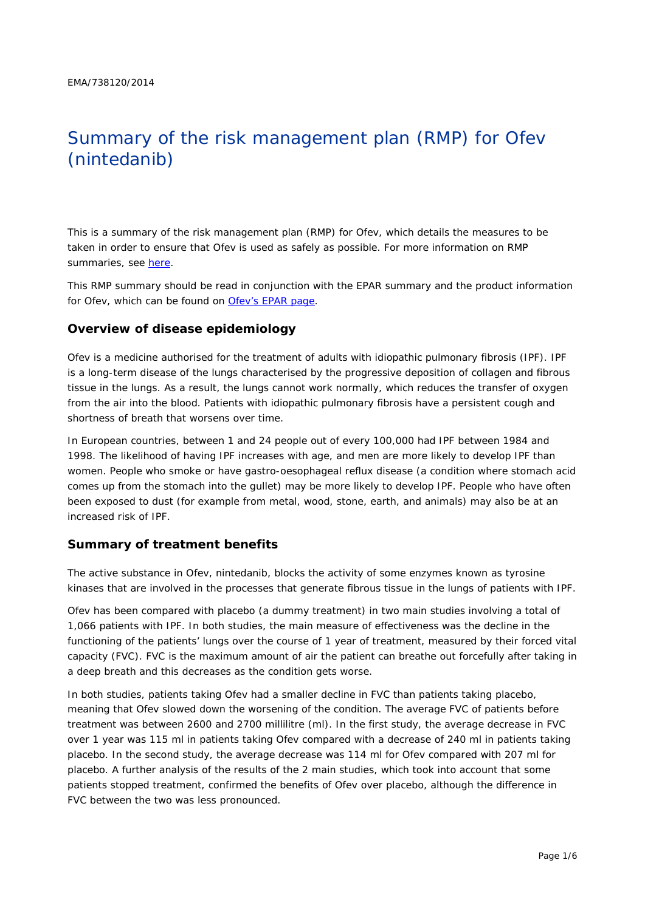# Summary of the risk management plan (RMP) for Ofev (nintedanib)

This is a summary of the risk management plan (RMP) for Ofev, which details the measures to be taken in order to ensure that Ofev is used as safely as possible. For more information on RMP summaries, see [here.](http://www.ema.europa.eu/docs/en_GB/document_library/Other/2014/05/WC500166101.pdf)

This RMP summary should be read in conjunction with the EPAR summary and the product information for Ofev, which can be found on [Ofev's EPAR page.](http://www.ema.europa.eu/ema/index.jsp?curl=/pages/medicines/human/medicines/003821/human_med_001834.jsp)

#### **Overview of disease epidemiology**

Ofev is a medicine authorised for the treatment of adults with idiopathic pulmonary fibrosis (IPF). IPF is a long-term disease of the lungs characterised by the progressive deposition of collagen and fibrous tissue in the lungs. As a result, the lungs cannot work normally, which reduces the transfer of oxygen from the air into the blood. Patients with idiopathic pulmonary fibrosis have a persistent cough and shortness of breath that worsens over time.

In European countries, between 1 and 24 people out of every 100,000 had IPF between 1984 and 1998. The likelihood of having IPF increases with age, and men are more likely to develop IPF than women. People who smoke or have gastro-oesophageal reflux disease (a condition where stomach acid comes up from the stomach into the gullet) may be more likely to develop IPF. People who have often been exposed to dust (for example from metal, wood, stone, earth, and animals) may also be at an increased risk of IPF.

#### **Summary of treatment benefits**

The active substance in Ofev, nintedanib, blocks the activity of some enzymes known as tyrosine kinases that are involved in the processes that generate fibrous tissue in the lungs of patients with IPF.

Ofev has been compared with placebo (a dummy treatment) in two main studies involving a total of 1,066 patients with IPF. In both studies, the main measure of effectiveness was the decline in the functioning of the patients' lungs over the course of 1 year of treatment, measured by their forced vital capacity (FVC). FVC is the maximum amount of air the patient can breathe out forcefully after taking in a deep breath and this decreases as the condition gets worse.

In both studies, patients taking Ofev had a smaller decline in FVC than patients taking placebo, meaning that Ofev slowed down the worsening of the condition. The average FVC of patients before treatment was between 2600 and 2700 millilitre (ml). In the first study, the average decrease in FVC over 1 year was 115 ml in patients taking Ofev compared with a decrease of 240 ml in patients taking placebo. In the second study, the average decrease was 114 ml for Ofev compared with 207 ml for placebo. A further analysis of the results of the 2 main studies, which took into account that some patients stopped treatment, confirmed the benefits of Ofev over placebo, although the difference in FVC between the two was less pronounced.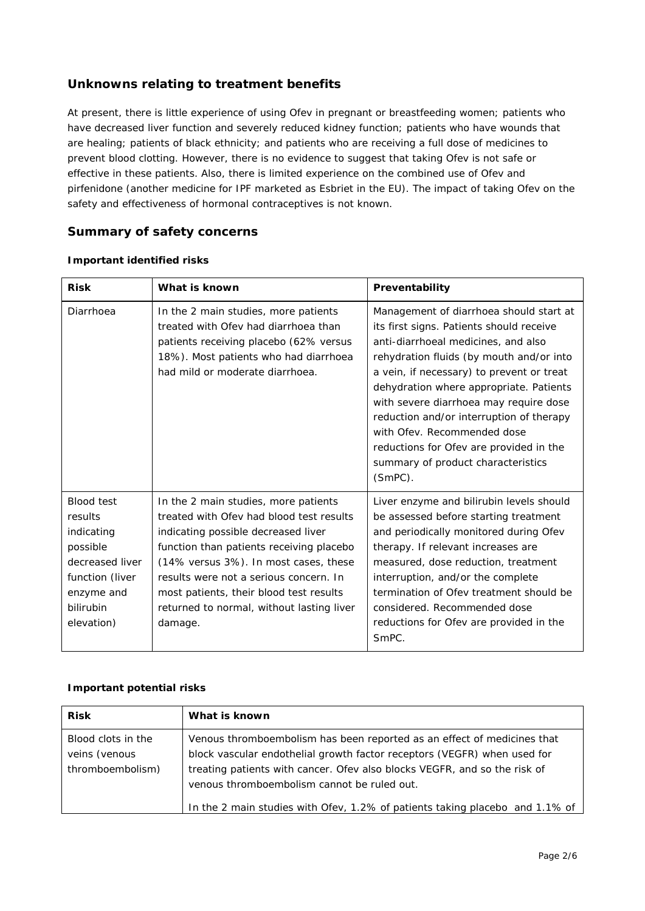# **Unknowns relating to treatment benefits**

At present, there is little experience of using Ofev in pregnant or breastfeeding women; patients who have decreased liver function and severely reduced kidney function; patients who have wounds that are healing; patients of black ethnicity; and patients who are receiving a full dose of medicines to prevent blood clotting. However, there is no evidence to suggest that taking Ofev is not safe or effective in these patients. Also, there is limited experience on the combined use of Ofev and pirfenidone (another medicine for IPF marketed as Esbriet in the EU). The impact of taking Ofev on the safety and effectiveness of hormonal contraceptives is not known.

### **Summary of safety concerns**

| <b>Risk</b>                                                                                                                           | What is known                                                                                                                                                                                                                                                                                                                                             | Preventability                                                                                                                                                                                                                                                                                                                                                                                                                                                                  |  |
|---------------------------------------------------------------------------------------------------------------------------------------|-----------------------------------------------------------------------------------------------------------------------------------------------------------------------------------------------------------------------------------------------------------------------------------------------------------------------------------------------------------|---------------------------------------------------------------------------------------------------------------------------------------------------------------------------------------------------------------------------------------------------------------------------------------------------------------------------------------------------------------------------------------------------------------------------------------------------------------------------------|--|
| Diarrhoea                                                                                                                             | In the 2 main studies, more patients<br>treated with Ofey had diarrhoea than<br>patients receiving placebo (62% versus<br>18%). Most patients who had diarrhoea<br>had mild or moderate diarrhoea.                                                                                                                                                        | Management of diarrhoea should start at<br>its first signs. Patients should receive<br>anti-diarrhoeal medicines, and also<br>rehydration fluids (by mouth and/or into<br>a vein, if necessary) to prevent or treat<br>dehydration where appropriate. Patients<br>with severe diarrhoea may require dose<br>reduction and/or interruption of therapy<br>with Ofev. Recommended dose<br>reductions for Ofev are provided in the<br>summary of product characteristics<br>(SmPC). |  |
| <b>Blood test</b><br>results<br>indicating<br>possible<br>decreased liver<br>function (liver<br>enzyme and<br>bilirubin<br>elevation) | In the 2 main studies, more patients<br>treated with Ofey had blood test results<br>indicating possible decreased liver<br>function than patients receiving placebo<br>(14% versus 3%). In most cases, these<br>results were not a serious concern. In<br>most patients, their blood test results<br>returned to normal, without lasting liver<br>damage. | Liver enzyme and bilirubin levels should<br>be assessed before starting treatment<br>and periodically monitored during Ofev<br>therapy. If relevant increases are<br>measured, dose reduction, treatment<br>interruption, and/or the complete<br>termination of Ofev treatment should be<br>considered. Recommended dose<br>reductions for Ofev are provided in the<br>SmPC.                                                                                                    |  |

#### *Important identified risks*

#### *Important potential risks*

| <b>Risk</b>                                             | What is known                                                                                                                                                                                                                                                                   |
|---------------------------------------------------------|---------------------------------------------------------------------------------------------------------------------------------------------------------------------------------------------------------------------------------------------------------------------------------|
| Blood clots in the<br>veins (venous<br>thromboembolism) | Venous thromboembolism has been reported as an effect of medicines that<br>block vascular endothelial growth factor receptors (VEGFR) when used for<br>treating patients with cancer. Ofev also blocks VEGFR, and so the risk of<br>venous thromboembolism cannot be ruled out. |
|                                                         | In the 2 main studies with Ofev, 1.2% of patients taking placebo and 1.1% of                                                                                                                                                                                                    |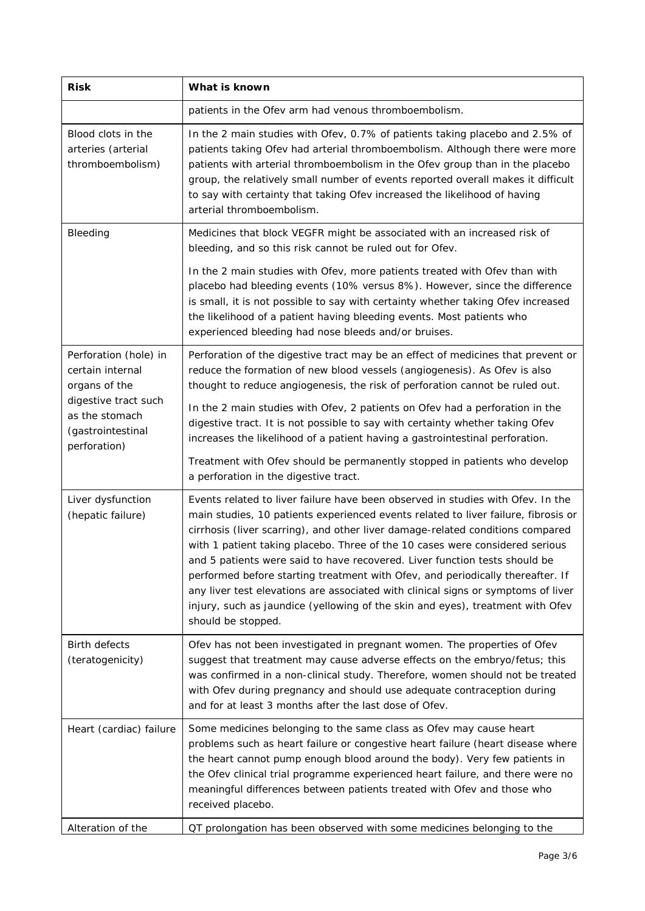| <b>Risk</b>                                                                 | What is known                                                                                                                                                                                                                                                                                                                                                                                                                                                                                                                                                                                                                                                                                        |  |  |  |
|-----------------------------------------------------------------------------|------------------------------------------------------------------------------------------------------------------------------------------------------------------------------------------------------------------------------------------------------------------------------------------------------------------------------------------------------------------------------------------------------------------------------------------------------------------------------------------------------------------------------------------------------------------------------------------------------------------------------------------------------------------------------------------------------|--|--|--|
|                                                                             | patients in the Ofev arm had venous thromboembolism.                                                                                                                                                                                                                                                                                                                                                                                                                                                                                                                                                                                                                                                 |  |  |  |
| Blood clots in the<br>arteries (arterial<br>thromboembolism)                | In the 2 main studies with Ofev, 0.7% of patients taking placebo and 2.5% of<br>patients taking Ofev had arterial thromboembolism. Although there were more<br>patients with arterial thromboembolism in the Ofev group than in the placebo<br>group, the relatively small number of events reported overall makes it difficult<br>to say with certainty that taking Ofev increased the likelihood of having<br>arterial thromboembolism.                                                                                                                                                                                                                                                            |  |  |  |
| Bleeding                                                                    | Medicines that block VEGFR might be associated with an increased risk of<br>bleeding, and so this risk cannot be ruled out for Ofev.                                                                                                                                                                                                                                                                                                                                                                                                                                                                                                                                                                 |  |  |  |
|                                                                             | In the 2 main studies with Ofev, more patients treated with Ofev than with<br>placebo had bleeding events (10% versus 8%). However, since the difference<br>is small, it is not possible to say with certainty whether taking Ofev increased<br>the likelihood of a patient having bleeding events. Most patients who<br>experienced bleeding had nose bleeds and/or bruises.                                                                                                                                                                                                                                                                                                                        |  |  |  |
| Perforation (hole) in<br>certain internal<br>organs of the                  | Perforation of the digestive tract may be an effect of medicines that prevent or<br>reduce the formation of new blood vessels (angiogenesis). As Ofev is also<br>thought to reduce angiogenesis, the risk of perforation cannot be ruled out.                                                                                                                                                                                                                                                                                                                                                                                                                                                        |  |  |  |
| digestive tract such<br>as the stomach<br>(gastrointestinal<br>perforation) | In the 2 main studies with Ofev, 2 patients on Ofev had a perforation in the<br>digestive tract. It is not possible to say with certainty whether taking Ofev<br>increases the likelihood of a patient having a gastrointestinal perforation.                                                                                                                                                                                                                                                                                                                                                                                                                                                        |  |  |  |
|                                                                             | Treatment with Ofev should be permanently stopped in patients who develop<br>a perforation in the digestive tract.                                                                                                                                                                                                                                                                                                                                                                                                                                                                                                                                                                                   |  |  |  |
| Liver dysfunction<br>(hepatic failure)                                      | Events related to liver failure have been observed in studies with Ofev. In the<br>main studies, 10 patients experienced events related to liver failure, fibrosis or<br>cirrhosis (liver scarring), and other liver damage-related conditions compared<br>with 1 patient taking placebo. Three of the 10 cases were considered serious<br>and 5 patients were said to have recovered. Liver function tests should be<br>performed before starting treatment with Ofev, and periodically thereafter. If<br>any liver test elevations are associated with clinical signs or symptoms of liver<br>injury, such as jaundice (yellowing of the skin and eyes), treatment with Ofev<br>should be stopped. |  |  |  |
| <b>Birth defects</b><br>(teratogenicity)                                    | Ofev has not been investigated in pregnant women. The properties of Ofev<br>suggest that treatment may cause adverse effects on the embryo/fetus; this<br>was confirmed in a non-clinical study. Therefore, women should not be treated<br>with Ofev during pregnancy and should use adequate contraception during<br>and for at least 3 months after the last dose of Ofev.                                                                                                                                                                                                                                                                                                                         |  |  |  |
| Heart (cardiac) failure                                                     | Some medicines belonging to the same class as Ofev may cause heart<br>problems such as heart failure or congestive heart failure (heart disease where<br>the heart cannot pump enough blood around the body). Very few patients in<br>the Ofev clinical trial programme experienced heart failure, and there were no<br>meaningful differences between patients treated with Ofev and those who<br>received placebo.                                                                                                                                                                                                                                                                                 |  |  |  |
| Alteration of the                                                           | QT prolongation has been observed with some medicines belonging to the                                                                                                                                                                                                                                                                                                                                                                                                                                                                                                                                                                                                                               |  |  |  |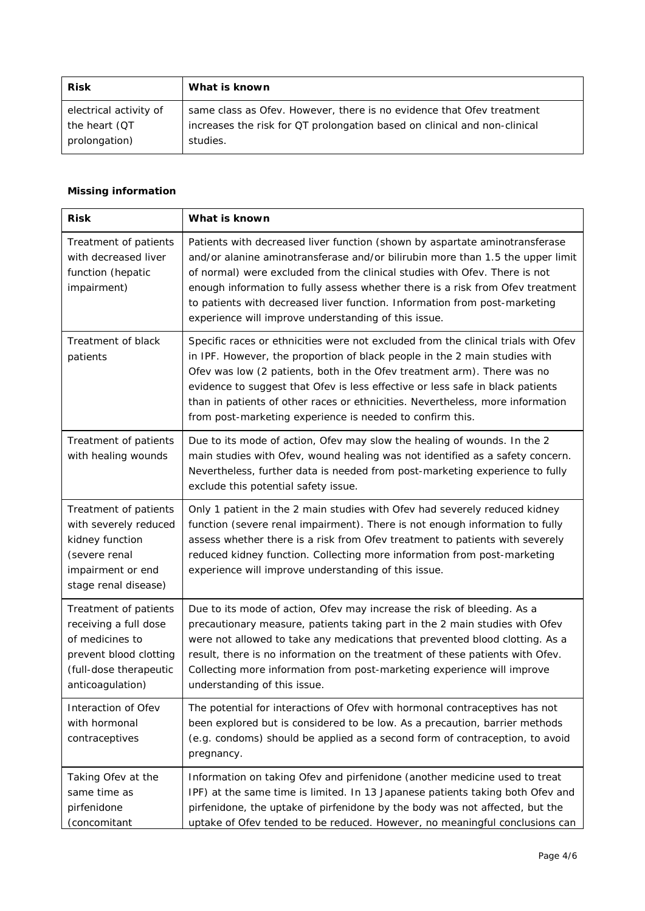| <b>Risk</b>            | What is known                                                             |
|------------------------|---------------------------------------------------------------------------|
| electrical activity of | same class as Ofev. However, there is no evidence that Ofev treatment     |
| the heart (QT          | increases the risk for QT prolongation based on clinical and non-clinical |
| prolongation)          | studies.                                                                  |

#### *Missing information*

| <b>Risk</b>                                                                                                                               | What is known                                                                                                                                                                                                                                                                                                                                                                                                                                                                |
|-------------------------------------------------------------------------------------------------------------------------------------------|------------------------------------------------------------------------------------------------------------------------------------------------------------------------------------------------------------------------------------------------------------------------------------------------------------------------------------------------------------------------------------------------------------------------------------------------------------------------------|
| Treatment of patients<br>with decreased liver<br>function (hepatic<br>impairment)                                                         | Patients with decreased liver function (shown by aspartate aminotransferase<br>and/or alanine aminotransferase and/or bilirubin more than 1.5 the upper limit<br>of normal) were excluded from the clinical studies with Ofev. There is not<br>enough information to fully assess whether there is a risk from Ofev treatment<br>to patients with decreased liver function. Information from post-marketing<br>experience will improve understanding of this issue.          |
| Treatment of black<br>patients                                                                                                            | Specific races or ethnicities were not excluded from the clinical trials with Ofev<br>in IPF. However, the proportion of black people in the 2 main studies with<br>Ofev was low (2 patients, both in the Ofev treatment arm). There was no<br>evidence to suggest that Ofev is less effective or less safe in black patients<br>than in patients of other races or ethnicities. Nevertheless, more information<br>from post-marketing experience is needed to confirm this. |
| Treatment of patients<br>with healing wounds                                                                                              | Due to its mode of action, Ofev may slow the healing of wounds. In the 2<br>main studies with Ofev, wound healing was not identified as a safety concern.<br>Nevertheless, further data is needed from post-marketing experience to fully<br>exclude this potential safety issue.                                                                                                                                                                                            |
| Treatment of patients<br>with severely reduced<br>kidney function<br>(severe renal<br>impairment or end<br>stage renal disease)           | Only 1 patient in the 2 main studies with Ofev had severely reduced kidney<br>function (severe renal impairment). There is not enough information to fully<br>assess whether there is a risk from Ofev treatment to patients with severely<br>reduced kidney function. Collecting more information from post-marketing<br>experience will improve understanding of this issue.                                                                                               |
| Treatment of patients<br>receiving a full dose<br>of medicines to<br>prevent blood clotting<br>(full-dose therapeutic<br>anticoagulation) | Due to its mode of action, Ofev may increase the risk of bleeding. As a<br>precautionary measure, patients taking part in the 2 main studies with Ofev<br>were not allowed to take any medications that prevented blood clotting. As a<br>result, there is no information on the treatment of these patients with Ofev.<br>Collecting more information from post-marketing experience will improve<br>understanding of this issue.                                           |
| Interaction of Ofev<br>with hormonal<br>contraceptives                                                                                    | The potential for interactions of Ofev with hormonal contraceptives has not<br>been explored but is considered to be low. As a precaution, barrier methods<br>(e.g. condoms) should be applied as a second form of contraception, to avoid<br>pregnancy.                                                                                                                                                                                                                     |
| Taking Ofev at the<br>same time as<br>pirfenidone<br>(concomitant                                                                         | Information on taking Ofev and pirfenidone (another medicine used to treat<br>IPF) at the same time is limited. In 13 Japanese patients taking both Ofev and<br>pirfenidone, the uptake of pirfenidone by the body was not affected, but the<br>uptake of Ofev tended to be reduced. However, no meaningful conclusions can                                                                                                                                                  |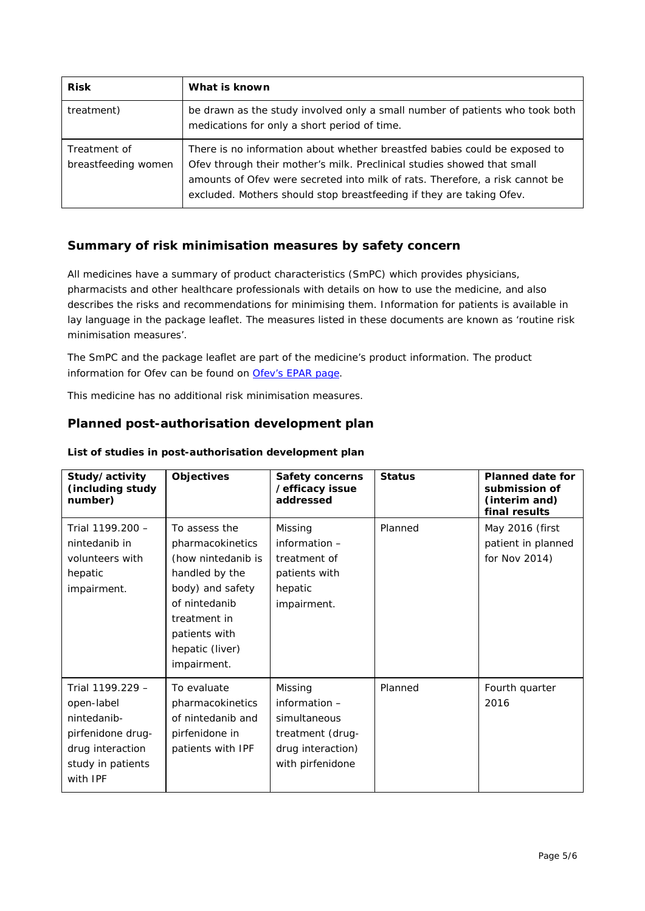| <b>Risk</b>                         | What is known                                                                                                                                                                                                                                                                                                 |
|-------------------------------------|---------------------------------------------------------------------------------------------------------------------------------------------------------------------------------------------------------------------------------------------------------------------------------------------------------------|
| treatment)                          | be drawn as the study involved only a small number of patients who took both<br>medications for only a short period of time.                                                                                                                                                                                  |
| Treatment of<br>breastfeeding women | There is no information about whether breastfed babies could be exposed to<br>Ofev through their mother's milk. Preclinical studies showed that small<br>amounts of Ofev were secreted into milk of rats. Therefore, a risk cannot be<br>excluded. Mothers should stop breastfeeding if they are taking Ofev. |

# **Summary of risk minimisation measures by safety concern**

All medicines have a summary of product characteristics (SmPC) which provides physicians, pharmacists and other healthcare professionals with details on how to use the medicine, and also describes the risks and recommendations for minimising them. Information for patients is available in lay language in the package leaflet. The measures listed in these documents are known as 'routine risk minimisation measures'.

The SmPC and the package leaflet are part of the medicine's product information. The product information for Ofev can be found on [Ofev's EPAR page.](http://www.ema.europa.eu/ema/index.jsp?curl=/pages/medicines/human/medicines/003821/human_med_001834.jsp)

This medicine has no additional risk minimisation measures.

#### **Planned post-authorisation development plan**

| Study/activity<br>(including study<br>number)                                                                           | <b>Objectives</b>                                                                                                                                                                 | <b>Safety concerns</b><br>/efficacy issue<br>addressed                                                  | <b>Status</b> | <b>Planned date for</b><br>submission of<br>(interim and)<br>final results |
|-------------------------------------------------------------------------------------------------------------------------|-----------------------------------------------------------------------------------------------------------------------------------------------------------------------------------|---------------------------------------------------------------------------------------------------------|---------------|----------------------------------------------------------------------------|
| Trial 1199.200 -<br>nintedanib in<br>volunteers with<br>hepatic<br>impairment.                                          | To assess the<br>pharmacokinetics<br>(how nintedanib is<br>handled by the<br>body) and safety<br>of nintedanib<br>treatment in<br>patients with<br>hepatic (liver)<br>impairment. | Missing<br>information $-$<br>treatment of<br>patients with<br>hepatic<br>impairment.                   | Planned       | May 2016 (first<br>patient in planned<br>for Nov 2014)                     |
| Trial 1199.229 -<br>open-label<br>nintedanib-<br>pirfenidone drug-<br>drug interaction<br>study in patients<br>with IPF | To evaluate<br>pharmacokinetics<br>of nintedanib and<br>pirfenidone in<br>patients with IPF                                                                                       | Missing<br>information $-$<br>simultaneous<br>treatment (drug-<br>drug interaction)<br>with pirfenidone | Planned       | Fourth quarter<br>2016                                                     |

#### *List of studies in post-authorisation development plan*